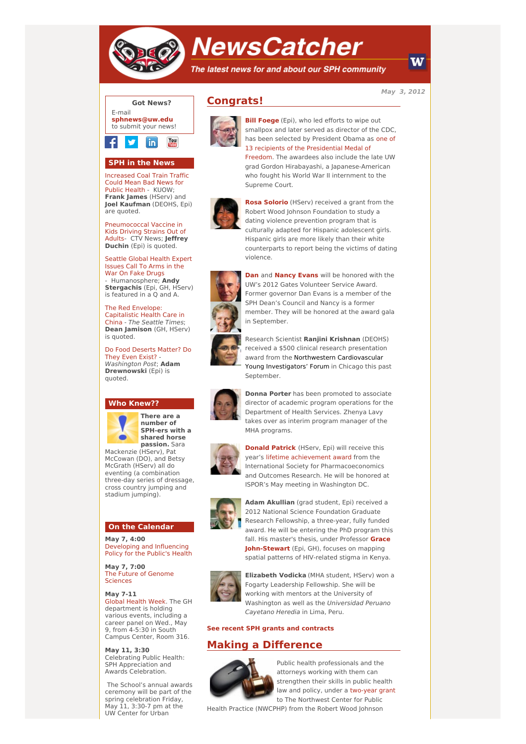

# **NewsCatcher**

The latest news for and about our SPH community

**May 3, 2012**

W



### **SPH in the News**

[Increased](http://engage.washington.edu/site/R?i=heqvKgoDbYgvYYzpZJl7PQ) Coal Train Traffic Could Mean Bad News for Public Health - KUOW; **Frank James** (HServ) and **Joel Kaufman** (DEOHS, Epi) are quoted.

[Pneumococcal](http://engage.washington.edu/site/R?i=QpYcq-69fvcj8KRg1tKT3Q) Vaccine in Kids Driving Strains Out of Adults- CTV News; **Jeffrey Duchin** (Epi) is quoted.

[Seattle](http://engage.washington.edu/site/R?i=lhM5ZWD75EtdG4TZrfMMLw) Global Health Expert Issues Call To Arms in the War On Fake Drugs - Humanosphere; **Andy Stergachis** (Epi, GH, HServ) is featured in a Q and A.

The Red Envelope: [Capitalistic](http://engage.washington.edu/site/R?i=S6cuyPyWe9RC44IqUb_Zxw) Health Care in China - The Seattle Times; **Dean Jamison** (GH, HServ) is quoted.

Do Food [Deserts](http://engage.washington.edu/site/R?i=0oJxNgwTZzgGEDOl3uc0FQ) Matter? Do They Even Exist? - Washington Post; **Adam Drewnowski** (Epi) is quoted.

#### **Who Knew??**



**There are a number of SPH-ers with a shared horse passion.** Sara

Mackenzie (HServ), Pat McCowan (DO), and Betsy McGrath (HServ) all do eventing (a combination three-day series of dressage, cross country jumping and stadium jumping).

#### **On the Calendar**

**May 7, 4:00** [Developing](http://engage.washington.edu/site/R?i=e6xicoO-XuajUdYNslaoYQ) and Influencing Policy for the Public's Health

**May 7, 7:00** The Future of [Genome](http://engage.washington.edu/site/R?i=IP4UvR_fDavxJdTx_k4dyQ) Sciences

**May 7-11** Global [Health](http://engage.washington.edu/site/R?i=OcDNd_83NDNjAydGbOyruQ) Week. The GH department is holding various events, including a career panel on Wed., May 9, from 4-5:30 in South Campus Center, Room 316.

**May 11, 3:30** Celebrating Public Health: SPH Appreciation and Awards Celebration.

The School's annual awards ceremony will be part of the spring celebration Friday, May 11, 3:30-7 pm at the UW Center for Urban





**Bill [Foege](http://engage.washington.edu/site/R?i=f2fRkCnp8U6iMqMZ5WKEWw)** (Epi), who led efforts to wipe out smallpox and later served as director of the CDC, has been selected by President Obama as one of 13 recipients of the [Presidential](http://engage.washington.edu/site/R?i=fJPbXFiPd45iD1CF7h7R3A) Medal of Freedom. The awardees also include the late UW grad Gordon Hirabayashi, a Japanese-American who fought his World War II internment to the Supreme Court.

**Rosa [Solorio](http://engage.washington.edu/site/R?i=uQOs1iEu8ercRkqF4-995Q)** (HServ) received a grant from the Robert Wood Johnson Foundation to study a



dating violence prevention program that is culturally adapted for Hispanic adolescent girls. Hispanic girls are more likely than their white counterparts to report being the victims of dating violence.



**[Dan](http://engage.washington.edu/site/R?i=sKcQ44hSixDRRSiBjB3Zgw)** and **[Nancy](http://engage.washington.edu/site/R?i=UAak851yCdR_JORh2N7o-Q) Evans** will be honored with the UW's 2012 Gates Volunteer Service Award. Former governor Dan Evans is a member of the SPH Dean's Council and Nancy is a former member. They will be honored at the award gala in September.

Research Scientist **Ranjini Krishnan** (DEOHS) received a \$500 clinical research presentation award from the Northwestern Cardiovascular Young Investigators' Forum in Chicago this past September.



**Donna Porter** has been promoted to associate director of academic program operations for the Department of Health Services. Zhenya Lavy takes over as interim program manager of the MHA programs.



**Donald [Patrick](http://engage.washington.edu/site/R?i=2HHHXkOcfsRbmAo2YnTofg)** (HServ, Epi) will receive this year's lifetime [achievement](http://engage.washington.edu/site/R?i=iub2JdUbAFuBktlcIxSAtw) award from the International Society for Pharmacoeconomics and Outcomes Research. He will be honored at ISPOR's May meeting in Washington DC.



**Adam Akullian** (grad student, Epi) received a 2012 National Science Foundation Graduate Research Fellowship, a three-year, fully funded award. He will be entering the PhD program this fall. His master's thesis, under Professor **Grace [John-Stewart](http://engage.washington.edu/site/R?i=JOUywFvfYs72ylGeraUi7Q)** (Epi, GH), focuses on mapping spatial patterns of HIV-related stigma in Kenya.



**Elizabeth Vodicka** (MHA student, HServ) won a Fogarty Leadership Fellowship. She will be working with mentors at the University of Washington as well as the Universidad Peruano Cayetano Heredia in Lima, Peru.

#### **See recent SPH grants and [contracts](http://engage.washington.edu/site/R?i=VT8WpIPD4riFb7p5rb4vdw)**

## **Making a Difference**



Public health professionals and the attorneys working with them can strengthen their skills in public health law and policy, under a [two-year](http://engage.washington.edu/site/R?i=iL2Fx5lkg0qzafEHYoFARQ) grant to The Northwest Center for Public

Health Practice (NWCPHP) from the Robert Wood Johnson